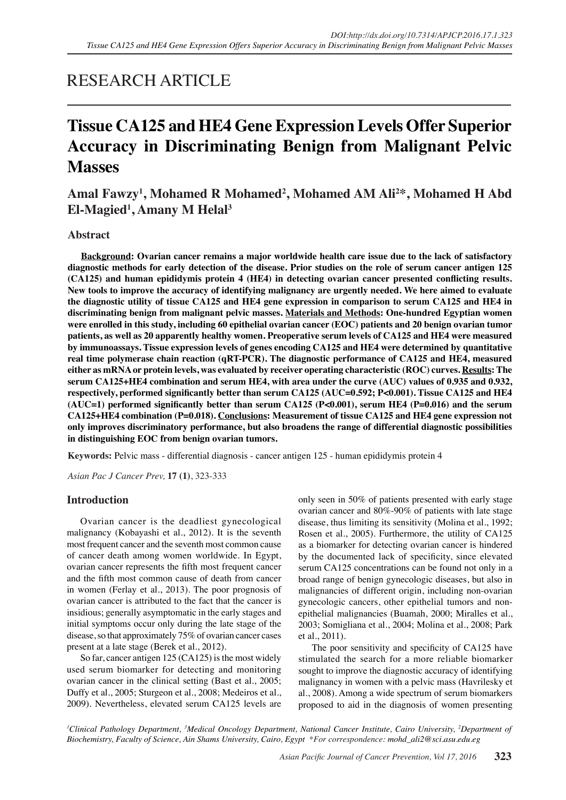# RESEARCH ARTICLE

# **Tissue CA125 and HE4 Gene Expression Levels Offer Superior Accuracy in Discriminating Benign from Malignant Pelvic Masses**

# Amal Fawzy<sup>1</sup>, Mohamed R Mohamed<sup>2</sup>, Mohamed AM Ali<sup>2\*</sup>, Mohamed H Abd **El-Magied1 , Amany M Helal3**

# **Abstract**

**Background: Ovarian cancer remains a major worldwide health care issue due to the lack of satisfactory diagnostic methods for early detection of the disease. Prior studies on the role of serum cancer antigen 125 (CA125) and human epididymis protein 4 (HE4) in detecting ovarian cancer presented conflicting results. New tools to improve the accuracy of identifying malignancy are urgently needed. We here aimed to evaluate the diagnostic utility of tissue CA125 and HE4 gene expression in comparison to serum CA125 and HE4 in discriminating benign from malignant pelvic masses. Materials and Methods: One-hundred Egyptian women were enrolled in this study, including 60 epithelial ovarian cancer (EOC) patients and 20 benign ovarian tumor patients, as well as 20 apparently healthy women. Preoperative serum levels of CA125 and HE4 were measured by immunoassays. Tissue expression levels of genes encoding CA125 and HE4 were determined by quantitative real time polymerase chain reaction (qRT-PCR). The diagnostic performance of CA125 and HE4, measured either as mRNA or protein levels, was evaluated by receiver operating characteristic (ROC) curves. Results: The serum CA125+HE4 combination and serum HE4, with area under the curve (AUC) values of 0.935 and 0.932, respectively, performed significantly better than serum CA125 (AUC=0.592; P<0.001). Tissue CA125 and HE4 (AUC=1) performed significantly better than serum CA125 (P<0.001), serum HE4 (P=0.016) and the serum CA125+HE4 combination (P=0.018). Conclusions: Measurement of tissue CA125 and HE4 gene expression not only improves discriminatory performance, but also broadens the range of differential diagnostic possibilities in distinguishing EOC from benign ovarian tumors.**

**Keywords:** Pelvic mass - differential diagnosis - cancer antigen 125 - human epididymis protein 4

*Asian Pac J Cancer Prev,* **17 (1)**, 323-333

# **Introduction**

Ovarian cancer is the deadliest gynecological malignancy (Kobayashi et al., 2012). It is the seventh most frequent cancer and the seventh most common cause of cancer death among women worldwide. In Egypt, ovarian cancer represents the fifth most frequent cancer and the fifth most common cause of death from cancer in women (Ferlay et al., 2013). The poor prognosis of ovarian cancer is attributed to the fact that the cancer is insidious; generally asymptomatic in the early stages and initial symptoms occur only during the late stage of the disease, so that approximately 75% of ovarian cancer cases present at a late stage (Berek et al., 2012).

So far, cancer antigen 125 (CA125) is the most widely used serum biomarker for detecting and monitoring ovarian cancer in the clinical setting (Bast et al., 2005; Duffy et al., 2005; Sturgeon et al., 2008; Medeiros et al., 2009). Nevertheless, elevated serum CA125 levels are only seen in 50% of patients presented with early stage ovarian cancer and 80%-90% of patients with late stage disease, thus limiting its sensitivity (Molina et al., 1992; Rosen et al., 2005). Furthermore, the utility of CA125 as a biomarker for detecting ovarian cancer is hindered by the documented lack of specificity, since elevated serum CA125 concentrations can be found not only in a broad range of benign gynecologic diseases, but also in malignancies of different origin, including non-ovarian gynecologic cancers, other epithelial tumors and nonepithelial malignancies (Buamah, 2000; Miralles et al., 2003; Somigliana et al., 2004; Molina et al., 2008; Park et al., 2011).

The poor sensitivity and specificity of CA125 have stimulated the search for a more reliable biomarker sought to improve the diagnostic accuracy of identifying malignancy in women with a pelvic mass (Havrilesky et al., 2008). Among a wide spectrum of serum biomarkers proposed to aid in the diagnosis of women presenting

*1 Clinical Pathology Department, 3 Medical Oncology Department, National Cancer Institute, Cairo University, 2 Department of Biochemistry, Faculty of Science, Ain Shams University, Cairo, Egypt \*For correspondence: mohd\_ali2@sci.asu.edu.eg*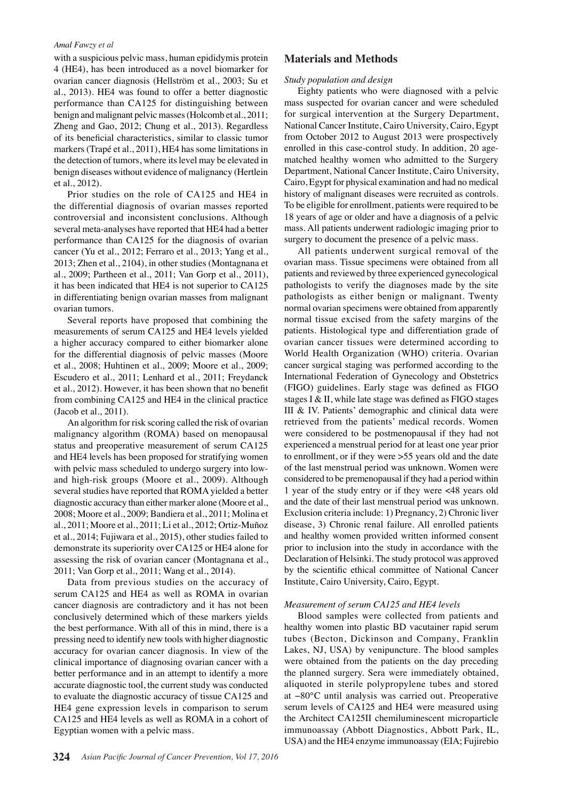with a suspicious pelvic mass, human epididymis protein 4 (HE4), has been introduced as a novel biomarker for ovarian cancer diagnosis (Hellström et al., 2003; Su et al., 2013). HE4 was found to offer a better diagnostic performance than CA125 for distinguishing between benign and malignant pelvic masses (Holcomb et al., 2011; Zheng and Gao, 2012; Chung et al., 2013). Regardless of its beneficial characteristics, similar to classic tumor markers (Trapé et al., 2011), HE4 has some limitations in the detection of tumors, where its level may be elevated in benign diseases without evidence of malignancy (Hertlein et al., 2012).

Prior studies on the role of CA125 and HE4 in the differential diagnosis of ovarian masses reported controversial and inconsistent conclusions. Although several meta-analyses have reported that HE4 had a better performance than CA125 for the diagnosis of ovarian cancer (Yu et al., 2012; Ferraro et al., 2013; Yang et al., 2013; Zhen et al., 2104), in other studies (Montagnana et al., 2009; Partheen et al., 2011; Van Gorp et al., 2011), it has been indicated that HE4 is not superior to CA125 in differentiating benign ovarian masses from malignant ovarian tumors.

Several reports have proposed that combining the measurements of serum CA125 and HE4 levels yielded a higher accuracy compared to either biomarker alone for the differential diagnosis of pelvic masses (Moore et al., 2008; Huhtinen et al., 2009; Moore et al., 2009; Escudero et al., 2011; Lenhard et al., 2011; Freydanck et al., 2012). However, it has been shown that no benefit from combining CA125 and HE4 in the clinical practice (Jacob et al., 2011).

An algorithm for risk scoring called the risk of ovarian malignancy algorithm (ROMA) based on menopausal status and preoperative measurement of serum CA125 and HE4 levels has been proposed for stratifying women with pelvic mass scheduled to undergo surgery into lowand high-risk groups (Moore et al., 2009). Although several studies have reported that ROMA yielded a better diagnostic accuracy than either marker alone (Moore et al., 2008; Moore et al., 2009; Bandiera et al., 2011; Molina et al., 2011; Moore et al., 2011; Li et al., 2012; Ortiz-Muñoz et al., 2014; Fujiwara et al., 2015), other studies failed to demonstrate its superiority over CA125 or HE4 alone for assessing the risk of ovarian cancer (Montagnana et al., 2011; Van Gorp et al., 2011; Wang et al., 2014).

Data from previous studies on the accuracy of serum CA125 and HE4 as well as ROMA in ovarian cancer diagnosis are contradictory and it has not been conclusively determined which of these markers yields the best performance. With all of this in mind, there is a pressing need to identify new tools with higher diagnostic accuracy for ovarian cancer diagnosis. In view of the clinical importance of diagnosing ovarian cancer with a better performance and in an attempt to identify a more accurate diagnostic tool, the current study was conducted to evaluate the diagnostic accuracy of tissue CA125 and HE4 gene expression levels in comparison to serum CA125 and HE4 levels as well as ROMA in a cohort of Egyptian women with a pelvic mass.

# **Materials and Methods**

#### *Study population and design*

Eighty patients who were diagnosed with a pelvic mass suspected for ovarian cancer and were scheduled for surgical intervention at the Surgery Department, National Cancer Institute, Cairo University, Cairo, Egypt from October 2012 to August 2013 were prospectively enrolled in this case-control study. In addition, 20 agematched healthy women who admitted to the Surgery Department, National Cancer Institute, Cairo University, Cairo, Egypt for physical examination and had no medical history of malignant diseases were recruited as controls. To be eligible for enrollment, patients were required to be 18 years of age or older and have a diagnosis of a pelvic mass. All patients underwent radiologic imaging prior to surgery to document the presence of a pelvic mass.

All patients underwent surgical removal of the ovarian mass. Tissue specimens were obtained from all patients and reviewed by three experienced gynecological pathologists to verify the diagnoses made by the site pathologists as either benign or malignant. Twenty normal ovarian specimens were obtained from apparently normal tissue excised from the safety margins of the patients. Histological type and differentiation grade of ovarian cancer tissues were determined according to World Health Organization (WHO) criteria. Ovarian cancer surgical staging was performed according to the International Federation of Gynecology and Obstetrics (FIGO) guidelines. Early stage was defined as FIGO stages I & II, while late stage was defined as FIGO stages III & IV. Patients' demographic and clinical data were retrieved from the patients' medical records. Women were considered to be postmenopausal if they had not experienced a menstrual period for at least one year prior to enrollment, or if they were >55 years old and the date of the last menstrual period was unknown. Women were considered to be premenopausal if they had a period within 1 year of the study entry or if they were <48 years old and the date of their last menstrual period was unknown. Exclusion criteria include: 1) Pregnancy, 2) Chronic liver disease, 3) Chronic renal failure. All enrolled patients and healthy women provided written informed consent prior to inclusion into the study in accordance with the Declaration of Helsinki. The study protocol was approved by the scientific ethical committee of National Cancer Institute, Cairo University, Cairo, Egypt.

#### *Measurement of serum CA125 and HE4 levels*

Blood samples were collected from patients and healthy women into plastic BD vacutainer rapid serum tubes (Becton, Dickinson and Company, Franklin Lakes, NJ, USA) by venipuncture. The blood samples were obtained from the patients on the day preceding the planned surgery. Sera were immediately obtained, aliquoted in sterile polypropylene tubes and stored at −80°C until analysis was carried out. Preoperative serum levels of CA125 and HE4 were measured using the Architect CA125II chemiluminescent microparticle immunoassay (Abbott Diagnostics, Abbott Park, IL, USA) and the HE4 enzyme immunoassay (EIA; Fujirebio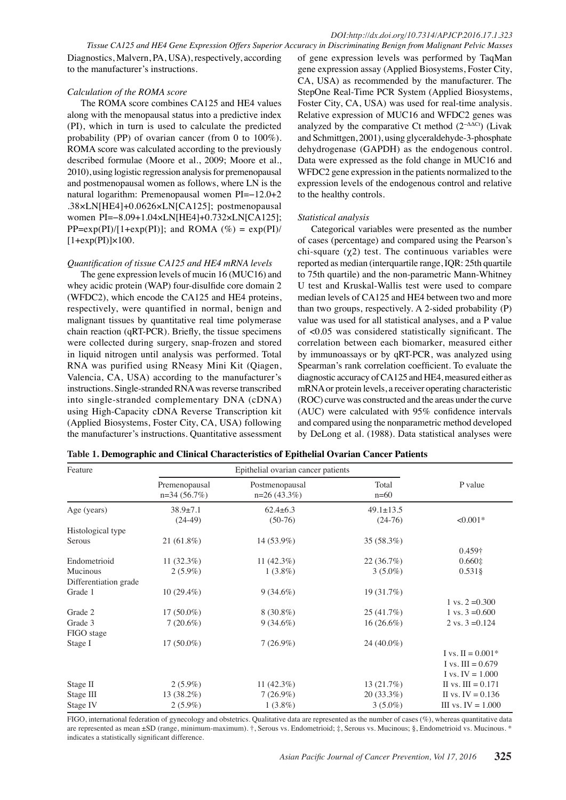*Tissue CA125 and HE4 Gene Expression Offers Superior Accuracy in Discriminating Benign from Malignant Pelvic Masses* Diagnostics, Malvern, PA, USA), respectively, according to the manufacturer's instructions.

## *Calculation of the ROMA score*

The ROMA score combines CA125 and HE4 values along with the menopausal status into a predictive index (PI), which in turn is used to calculate the predicted probability (PP) of ovarian cancer (from 0 to 100%). ROMA score was calculated according to the previously described formulae (Moore et al., 2009; Moore et al., 2010), using logistic regression analysis for premenopausal and postmenopausal women as follows, where LN is the natural logarithm: Premenopausal women PI=−12.0+2 .38×LN[HE4]+0.0626×LN[CA125]; postmenopausal women PI=−8.09+1.04×LN[HE4]+0.732×LN[CA125];  $PP=exp(PI)/[1+exp(PI)];$  and ROMA  $(\%) = exp(PI)/[1+exp(PI)]$  $[1+exp(PI)]\times100$ .

## *Quantification of tissue CA125 and HE4 mRNA levels*

The gene expression levels of mucin 16 (MUC16) and whey acidic protein (WAP) four-disulfide core domain 2 (WFDC2), which encode the CA125 and HE4 proteins, respectively, were quantified in normal, benign and malignant tissues by quantitative real time polymerase chain reaction (qRT-PCR). Briefly, the tissue specimens were collected during surgery, snap-frozen and stored in liquid nitrogen until analysis was performed. Total RNA was purified using RNeasy Mini Kit (Qiagen, Valencia, CA, USA) according to the manufacturer's instructions. Single-stranded RNA was reverse transcribed into single-stranded complementary DNA (cDNA) using High-Capacity cDNA Reverse Transcription kit (Applied Biosystems, Foster City, CA, USA) following the manufacturer's instructions. Quantitative assessment

of gene expression levels was performed by TaqMan gene expression assay (Applied Biosystems, Foster City, CA, USA) as recommended by the manufacturer. The StepOne Real-Time PCR System (Applied Biosystems, Foster City, CA, USA) was used for real-time analysis. Relative expression of MUC16 and WFDC2 genes was analyzed by the comparative Ct method  $(2^{-\Delta\Delta Ct})$  (Livak and Schmittgen, 2001), using glyceraldehyde-3-phosphate dehydrogenase (GAPDH) as the endogenous control. Data were expressed as the fold change in MUC16 and WFDC2 gene expression in the patients normalized to the expression levels of the endogenous control and relative to the healthy controls.

## *Statistical analysis*

Categorical variables were presented as the number of cases (percentage) and compared using the Pearson's chi-square  $(\chi 2)$  test. The continuous variables were reported as median (interquartile range, IQR: 25th quartile to 75th quartile) and the non-parametric Mann-Whitney U test and Kruskal-Wallis test were used to compare median levels of CA125 and HE4 between two and more than two groups, respectively. A 2-sided probability (P) value was used for all statistical analyses, and a P value of <0.05 was considered statistically significant. The correlation between each biomarker, measured either by immunoassays or by qRT-PCR, was analyzed using Spearman's rank correlation coefficient. To evaluate the diagnostic accuracy of CA125 and HE4, measured either as mRNA or protein levels, a receiver operating characteristic (ROC) curve was constructed and the areas under the curve (AUC) were calculated with 95% confidence intervals and compared using the nonparametric method developed by DeLong et al. (1988). Data statistical analyses were

|  | Table 1. Demographic and Clinical Characteristics of Epithelial Ovarian Cancer Patients |
|--|-----------------------------------------------------------------------------------------|
|--|-----------------------------------------------------------------------------------------|

| Feature               |                                | Epithelial ovarian cancer patients |                 |                      |
|-----------------------|--------------------------------|------------------------------------|-----------------|----------------------|
|                       | Premenopausal<br>$n=34(56.7%)$ | Postmenopausal<br>$n=26(43.3\%)$   | Total<br>$n=60$ | P value              |
| Age (years)           | $38.9 \pm 7.1$                 | $62.4 \pm 6.3$                     | $49.1 \pm 13.5$ |                      |
|                       | $(24-49)$                      | $(50-76)$                          | $(24-76)$       | $< 0.001*$           |
| Histological type     |                                |                                    |                 |                      |
| Serous                | $21(61.8\%)$                   | 14 (53.9%)                         | 35 (58.3%)      |                      |
|                       |                                |                                    |                 | 0.459†               |
| Endometrioid          | $11(32.3\%)$                   | 11 $(42.3\%)$                      | 22 (36.7%)      | $0.660 \pm$          |
| Mucinous              | $2(5.9\%)$                     | $1(3.8\%)$                         | $3(5.0\%)$      | $0.531\$             |
| Differentiation grade |                                |                                    |                 |                      |
| Grade 1               | $10(29.4\%)$                   | $9(34.6\%)$                        | 19 (31.7%)      |                      |
|                       |                                |                                    |                 | 1 vs. $2 = 0.300$    |
| Grade 2               | $17(50.0\%)$                   | $8(30.8\%)$                        | 25(41.7%)       | 1 vs. $3 = 0.600$    |
| Grade 3               | $7(20.6\%)$                    | $9(34.6\%)$                        | $16(26.6\%)$    | 2 vs. $3 = 0.124$    |
| FIGO stage            |                                |                                    |                 |                      |
| Stage I               | $17(50.0\%)$                   | $7(26.9\%)$                        | 24 (40.0%)      |                      |
|                       |                                |                                    |                 | I vs. II = $0.001*$  |
|                       |                                |                                    |                 | I vs. III = $0.679$  |
|                       |                                |                                    |                 | I vs. IV = $1.000$   |
| Stage II              | $2(5.9\%)$                     | 11 $(42.3\%)$                      | 13(21.7%)       | II vs. $III = 0.171$ |
| Stage III             | 13 (38.2%)                     | $7(26.9\%)$                        | $20(33.3\%)$    | II vs. IV = $0.136$  |
| Stage IV              | $2(5.9\%)$                     | $1(3.8\%)$                         | $3(5.0\%)$      | III vs. IV = $1.000$ |

FIGO, international federation of gynecology and obstetrics. Qualitative data are represented as the number of cases (%), whereas quantitative data are represented as mean ±SD (range, minimum-maximum).  $\dagger$ , Serous vs. Endometrioid;  $\ddagger$ , Serous vs. Mucinous; §, Endometrioid vs. Mucinous. \* indicates a statistically significant difference.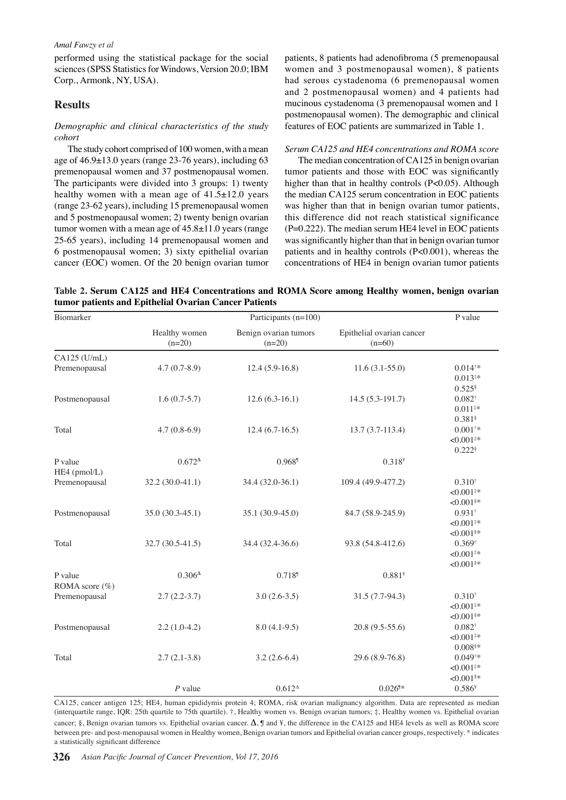performed using the statistical package for the social sciences (SPSS Statistics for Windows, Version 20.0; IBM Corp., Armonk, NY, USA).

# **Results**

#### *Demographic and clinical characteristics of the study cohort*

The study cohort comprised of 100 women, with a mean age of 46.9±13.0 years (range 23-76 years), including 63 premenopausal women and 37 postmenopausal women. The participants were divided into 3 groups: 1) twenty healthy women with a mean age of  $41.5\pm12.0$  years (range 23-62 years), including 15 premenopausal women and 5 postmenopausal women; 2) twenty benign ovarian tumor women with a mean age of  $45.8\pm11.0$  years (range) 25-65 years), including 14 premenopausal women and 6 postmenopausal women; 3) sixty epithelial ovarian cancer (EOC) women. Of the 20 benign ovarian tumor patients, 8 patients had adenofibroma (5 premenopausal women and 3 postmenopausal women), 8 patients had serous cystadenoma (6 premenopausal women and 2 postmenopausal women) and 4 patients had mucinous cystadenoma (3 premenopausal women and 1 postmenopausal women). The demographic and clinical features of EOC patients are summarized in Table 1.

#### *Serum CA125 and HE4 concentrations and ROMA score*

The median concentration of CA125 in benign ovarian tumor patients and those with EOC was significantly higher than that in healthy controls (P<0.05). Although the median CA125 serum concentration in EOC patients was higher than that in benign ovarian tumor patients, this difference did not reach statistical significance  $(P=0.222)$ . The median serum HE4 level in EOC patients was significantly higher than that in benign ovarian tumor patients and in healthy controls (P<0.001), whereas the concentrations of HE4 in benign ovarian tumor patients

**Table 2. Serum CA125 and HE4 Concentrations and ROMA Score among Healthy women, benign ovarian tumor patients and Epithelial Ovarian Cancer Patients** 

| Biomarker                       |                           | Participants (n=100)              |                                       | P value                                                                 |
|---------------------------------|---------------------------|-----------------------------------|---------------------------------------|-------------------------------------------------------------------------|
|                                 | Healthy women<br>$(n=20)$ | Benign ovarian tumors<br>$(n=20)$ | Epithelial ovarian cancer<br>$(n=60)$ |                                                                         |
| $CA125$ (U/mL)<br>Premenopausal | $4.7(0.7-8.9)$            | $12.4(5.9-16.8)$                  | $11.6(3.1-55.0)$                      | $0.014**$<br>$0.013**$                                                  |
| Postmenopausal                  | $1.6(0.7-5.7)$            | $12.6(6.3-16.1)$                  | $14.5(5.3-191.7)$                     | $0.525$ <sup>§</sup><br>$0.082^{\dagger}$<br>$0.011**$                  |
| Total                           | $4.7(0.8-6.9)$            | $12.4(6.7-16.5)$                  | $13.7(3.7-113.4)$                     | $0.381$ <sup>§</sup><br>$0.001**$<br>$<0.001**$<br>$0.222$ <sup>§</sup> |
| P value<br>HE4 (pmol/L)         | $0.672^{\Delta}$          | 0.968                             | $0.318*$                              |                                                                         |
| Premenopausal                   | 32.2 (30.0-41.1)          | 34.4 (32.0-36.1)                  | 109.4 (49.9-477.2)                    | $0.310^{+}$<br>$< 0.001$ <sup>#*</sup>                                  |
| Postmenopausal                  | 35.0 (30.3-45.1)          | 35.1 (30.9-45.0)                  | 84.7 (58.9-245.9)                     | $<0.001$ <sup>§*</sup><br>$0.931$ <sup>†</sup><br>$< 0.001$ #*          |
| Total                           | 32.7 (30.5-41.5)          | 34.4 (32.4-36.6)                  | 93.8 (54.8-412.6)                     | $<0.001$ §*<br>$0.369^{\dagger}$<br>$< 0.001$ #*<br>$< 0.001$ §*        |
| P value<br>ROMA score (%)       | $0.306^{\Delta}$          | $0.718^{9}$                       | $0.881*$                              |                                                                         |
| Premenopausal                   | $2.7(2.2-3.7)$            | $3.0(2.6-3.5)$                    | $31.5(7.7-94.3)$                      | $0.310^{+}$<br>$< 0.001$ <sup>#*</sup><br>$<0.001$ §*                   |
| Postmenopausal                  | $2.2(1.0-4.2)$            | $8.0(4.1-9.5)$                    | $20.8(9.5-55.6)$                      | $0.082^{\dagger}$<br>$< 0.001$ <sup>#*</sup>                            |
| Total                           | $2.7(2.1-3.8)$            | $3.2(2.6-6.4)$                    | 29.6 (8.9-76.8)                       | $0.008$ \$*<br>$0.049**$<br>${<}0.001$ <sup>#*</sup><br>$<0.001$ §*     |
|                                 | $P$ value                 | $0.612^{\Delta}$                  | $0.026$ <sup>9*</sup>                 | $0.586*$                                                                |

CA125, cancer antigen 125; HE4, human epididymis protein 4; ROMA, risk ovarian malignancy algorithm. Data are represented as median (interquartile range, IQR: 25th quartile to 75th quartile). †, Healthy women vs. Benign ovarian tumors; ‡, Healthy women vs. Epithelial ovarian cancer; §, Benign ovarian tumors vs. Epithelial ovarian cancer.  $\Lambda$ , ¶ and ¥, the difference in the CA125 and HE4 levels as well as ROMA score between pre- and post-menopausal women in Healthy women, Benign ovarian tumors and Epithelial ovarian cancer groups, respectively. \* indicates a statistically significant difference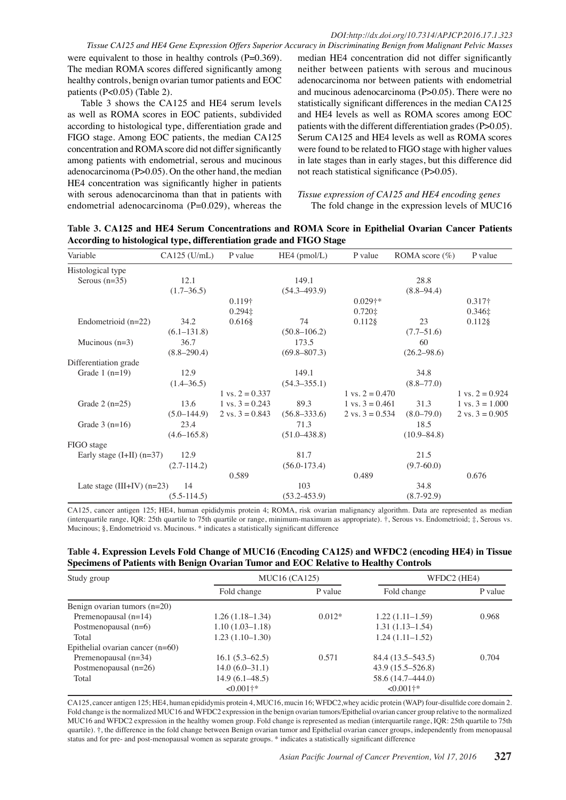were equivalent to those in healthy controls (P=0.369). The median ROMA scores differed significantly among healthy controls, benign ovarian tumor patients and EOC patients (P<0.05) (Table 2).

Table 3 shows the CA125 and HE4 serum levels as well as ROMA scores in EOC patients, subdivided according to histological type, differentiation grade and FIGO stage. Among EOC patients, the median CA125 concentration and ROMA score did not differ significantly among patients with endometrial, serous and mucinous adenocarcinoma (P>0.05). On the other hand, the median HE4 concentration was significantly higher in patients with serous adenocarcinoma than that in patients with endometrial adenocarcinoma  $(P=0.029)$ , whereas the

*Tissue CA125 and HE4 Gene Expression Offers Superior Accuracy in Discriminating Benign from Malignant Pelvic Masses* median HE4 concentration did not differ significantly neither between patients with serous and mucinous adenocarcinoma nor between patients with endometrial and mucinous adenocarcinoma (P>0.05). There were no statistically significant differences in the median CA125 and HE4 levels as well as ROMA scores among EOC patients with the different differentiation grades (P>0.05). Serum CA125 and HE4 levels as well as ROMA scores were found to be related to FIGO stage with higher values in late stages than in early stages, but this difference did not reach statistical significance (P>0.05).

#### *Tissue expression of CA125 and HE4 encoding genes*  The fold change in the expression levels of MUC16

**Table 3. CA125 and HE4 Serum Concentrations and ROMA Score in Epithelial Ovarian Cancer Patients According to histological type, differentiation grade and FIGO Stage**

| Variable                      | $CA125$ (U/mL)  | P value                    | $HE4$ (pmol/L)   | P value                    | ROMA score $(\%)$ | P value                    |
|-------------------------------|-----------------|----------------------------|------------------|----------------------------|-------------------|----------------------------|
| Histological type             |                 |                            |                  |                            |                   |                            |
| Serous $(n=35)$               | 12.1            |                            | 149.1            |                            | 28.8              |                            |
|                               | $(1.7 - 36.5)$  |                            | $(54.3 - 493.9)$ |                            | $(8.8 - 94.4)$    |                            |
|                               |                 | 0.119†                     |                  | $0.029$ †*                 |                   | $0.317\dagger$             |
|                               |                 | $0.294 \pm$                |                  | $0.720 \pm$                |                   | $0.346 \pm$                |
| Endometrioid $(n=22)$         | 34.2            | $0.616$ §                  | 74               | $0.112$ §                  | 23                | $0.112$ §                  |
|                               | $(6.1 - 131.8)$ |                            | $(50.8 - 106.2)$ |                            | $(7.7-51.6)$      |                            |
| Mucinous $(n=3)$              | 36.7            |                            | 173.5            |                            | 60                |                            |
|                               | $(8.8 - 290.4)$ |                            | $(69.8 - 807.3)$ |                            | $(26.2 - 98.6)$   |                            |
| Differentiation grade         |                 |                            |                  |                            |                   |                            |
| Grade $1$ (n=19)              | 12.9            |                            | 149.1            |                            | 34.8              |                            |
|                               | $(1.4 - 36.5)$  |                            | $(54.3 - 355.1)$ |                            | $(8.8 - 77.0)$    |                            |
|                               |                 | $1 \text{ vs. } 2 = 0.337$ |                  | $1 \text{ vs. } 2 = 0.470$ |                   | $1 \text{ vs. } 2 = 0.924$ |
| Grade $2(n=25)$               | 13.6            | $1 \text{ vs. } 3 = 0.243$ | 89.3             | $1 \text{ vs. } 3 = 0.461$ | 31.3              | $1 \text{ vs. } 3 = 1.000$ |
|                               | $(5.0 - 144.9)$ | 2 vs. $3 = 0.843$          | $(56.8 - 333.6)$ | 2 vs. $3 = 0.534$          | $(8.0 - 79.0)$    | $2 \text{ vs. } 3 = 0.905$ |
| Grade $3(n=16)$               | 23.4            |                            | 71.3             |                            | 18.5              |                            |
|                               | $(4.6 - 165.8)$ |                            | $(51.0 - 438.8)$ |                            | $(10.9 - 84.8)$   |                            |
| FIGO stage                    |                 |                            |                  |                            |                   |                            |
| Early stage $(I+II)$ $(n=37)$ | 12.9            |                            | 81.7             |                            | 21.5              |                            |
|                               | $(2.7-114.2)$   |                            | $(56.0 - 173.4)$ |                            | $(9.7 - 60.0)$    |                            |
|                               |                 | 0.589                      |                  | 0.489                      |                   | 0.676                      |
| Late stage (III+IV) $(n=23)$  | 14              |                            | 103              |                            | 34.8              |                            |
|                               | $(5.5-114.5)$   |                            | $(53.2 - 453.9)$ |                            | $(8.7-92.9)$      |                            |

CA125, cancer antigen 125; HE4, human epididymis protein 4; ROMA, risk ovarian malignancy algorithm. Data are represented as median (interquartile range, IQR: 25th quartile to 75th quartile or range, minimum-maximum as appropriate). †, Serous vs. Endometrioid; ‡, Serous vs. Mucinous; §, Endometrioid vs. Mucinous. \* indicates a statistically significant difference

| Table 4. Expression Levels Fold Change of MUC16 (Encoding CA125) and WFDC2 (encoding HE4) in Tissue |  |
|-----------------------------------------------------------------------------------------------------|--|
| Specimens of Patients with Benign Ovarian Tumor and EOC Relative to Healthy Controls                |  |

| Study group                        | <b>MUC16 (CA125)</b>   |          | WFDC2 (HE4)            |         |
|------------------------------------|------------------------|----------|------------------------|---------|
|                                    | Fold change            | P value  | Fold change            | P value |
| Benign ovarian tumors $(n=20)$     |                        |          |                        |         |
| Premenopausal $(n=14)$             | $1.26(1.18-1.34)$      | $0.012*$ | $1.22(1.11-1.59)$      | 0.968   |
| Postmenopausal $(n=6)$             | $1.10(1.03 - 1.18)$    |          | $1.31(1.13 - 1.54)$    |         |
| Total                              | $1.23(1.10-1.30)$      |          | $1.24(1.11-1.52)$      |         |
| Epithelial ovarian cancer $(n=60)$ |                        |          |                        |         |
| Premenopausal $(n=34)$             | $16.1(5.3-62.5)$       | 0.571    | 84.4 (13.5–543.5)      | 0.704   |
| Postmenopausal $(n=26)$            | $14.0(6.0-31.1)$       |          | $43.9(15.5 - 526.8)$   |         |
| Total                              | $14.9(6.1 - 48.5)$     |          | 58.6 (14.7–444.0)      |         |
|                                    | $<0.001$ <sup>+*</sup> |          | $<0.001$ <sup>+*</sup> |         |

CA125, cancer antigen 125; HE4, human epididymis protein 4, MUC16, mucin 16; WFDC2,whey acidic protein (WAP) four-disulfide core domain 2. Fold change is the normalized MUC16 and WFDC2 expression in the benign ovarian tumors/Epithelial ovarian cancer group relative to the normalized MUC16 and WFDC2 expression in the healthy women group. Fold change is represented as median (interquartile range, IQR: 25th quartile to 75th quartile). †, the difference in the fold change between Benign ovarian tumor and Epithelial ovarian cancer groups, independently from menopausal status and for pre- and post-menopausal women as separate groups. \* indicates a statistically significant difference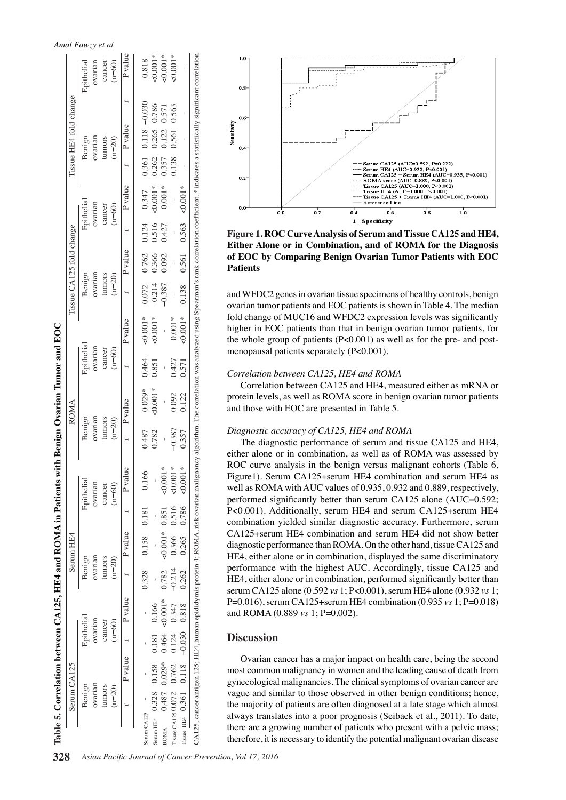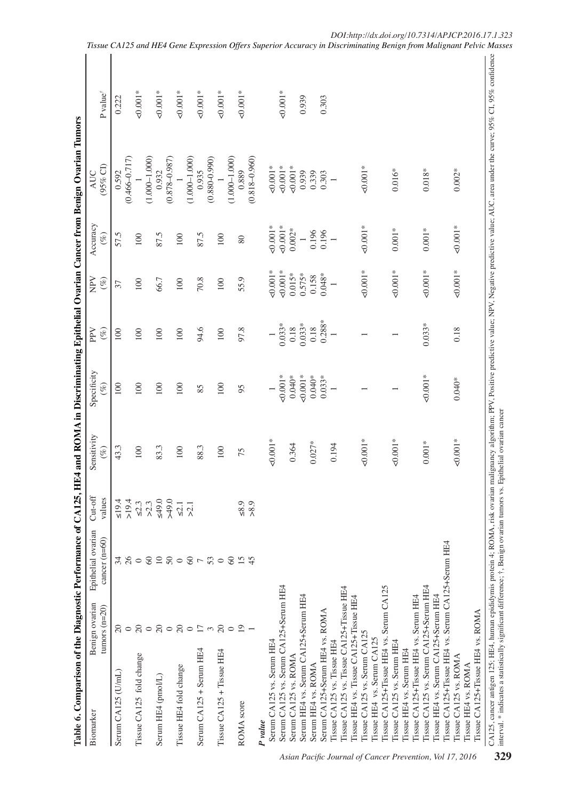| ĺ                                                      |  |
|--------------------------------------------------------|--|
|                                                        |  |
|                                                        |  |
| J                                                      |  |
|                                                        |  |
|                                                        |  |
| ļ                                                      |  |
|                                                        |  |
|                                                        |  |
|                                                        |  |
|                                                        |  |
| .<br>ا                                                 |  |
|                                                        |  |
|                                                        |  |
|                                                        |  |
| $\frac{1}{2}$                                          |  |
|                                                        |  |
|                                                        |  |
|                                                        |  |
|                                                        |  |
| <br> <br>                                              |  |
| ֚֚֬<br>֖֖֖֖֖ׅ֪ׅׅׅ֚֚֚֚֚֚֚֚֚֚֚֚֚֚֚֚֚֚֚֬֝֕֝֬֝֬֓֬֝֓֬֝֓֬֝֓֬ |  |
| -<br>く                                                 |  |
| 5<br>P                                                 |  |
|                                                        |  |
|                                                        |  |
| I                                                      |  |
| י<br>י                                                 |  |
| J                                                      |  |
| i<br>ׇ֚֕                                               |  |
|                                                        |  |
|                                                        |  |
|                                                        |  |
|                                                        |  |
| d                                                      |  |
| ζ                                                      |  |
| i<br>í                                                 |  |

| $(0.466 - 0.717)$<br>$(1.000 - 1.000)$<br>$(0.878 - 0.987)$<br>$(1.000 - 1.000)$<br>$(1.000 - 1.000)$<br>$(0.880 - 0.990)$<br>$(0.818 - 0.960)$<br>$(95\%$ CI)<br>$0.001*$<br>$0.001*$<br>$0.001*$<br>$0.001*$<br>$0.002*$<br>0.889<br>0.932<br>0.935<br>$0.016*$<br>$0.018*$<br>0.592<br>AUC<br>0.939<br>0.339<br>0.303<br>$\overline{\phantom{0}}$<br>Accuracy<br>$0.001*$<br>$\begin{array}{c} 0.001* \\ 0.001* \\ 0.002* \end{array}$<br>$0.001*$<br>$0.001\,^*$<br>$0.001*$<br>0.196<br>$0.196$<br>1<br>57.5<br>87.5<br>87.5<br>$(\%)$<br>100<br>100<br>100<br>80<br>$40.001*$<br>$40.001*$<br>$40.001*$<br>$40.001*$<br>$40.001*$<br>$-0.001*$<br>$0.015*$<br>$0.575*$<br>$0.048*$<br>0.158<br>55.9<br>66.7<br>70.8<br>$(\%)$<br>100<br>100<br>100<br>37<br>$0.288*$<br>$0.033*$<br>$0.033*$<br>$0.033*$<br>$0.18$<br>0.18<br>0.18<br>94.6<br>97.8<br>$($ %)<br>100<br>100<br>100<br>100<br>100<br>$\overline{\phantom{0}}$<br>Specificity<br>$50.001*$<br>$50.001*$<br>$0.001*$<br>$0.040*$<br>$0.040*$<br>$0.033*$<br>$0.040*$<br>100<br>100<br>100<br>100<br>100<br>$(\%)$<br>85<br>95<br>$\overline{\phantom{0}}$<br>Sensitivity<br>$-0.001*$<br>$40.001*$<br>$-0.001*$<br>$-0.001*$<br>$0.001*$<br>$0.027*$<br>0.364<br>0.194<br>43.3<br>83.3<br>88.3<br>100<br>100<br>100<br>$(\%)$<br>75<br>values<br>≤19.4<br>>19.4<br>$0.6$<br>0.64<<br>$\leq 2.3$<br>$>2.3$<br>$_{\leq 8.9}$<br>> 8.9<br>$\leq 2.1$<br>$\geqslant$<br>$cancer (n=60)$<br>Tissue CA125+Tissue HE4 vs. Serum CA125+Serum HE4<br>31<br>26<br>$\begin{array}{c}\n 2 & 2 \\ 2 & 3\n \end{array}$<br>15<br>$\infty$<br>53<br>$\infty$<br>$\circ$<br>$\overline{ }$<br>$\circ$<br>Serum CA125 vs. Serum CA125+Serum HE4<br>Serum CA125<br>Tissue CA125 vs. Serum CA125+Serum HE4<br>Tissue CA125 vs. Tissue CA125+Tissue HE4<br>Tissue HE4 vs. Serum CA125+Serum HE4<br>Serum HE4 vs. Serum CA125+Serum HE4<br>Tissue CA125+Tissue HE4 vs. Serum HE4<br>Tissue HE4 vs. Tissue CA125+Tissue HE4<br>Benign ovarian<br>tumors $(n=20)$<br>Serum CA125+Serum HE4 vs. ROMA<br>$\overline{\mathcal{L}}$<br>$20\,$<br>$R \circ R \circ$<br>$\overline{17}$<br>$\overline{c}$<br>$\overline{19}$<br>$\circ$<br>$\circ$<br>$\sim$<br>$\circ$<br>Tissue CA125 vs. Serum CA125<br>Tissue CA125+Tissue HE4 vs.<br>Iissue HE4 vs. Serum CA125<br>Tissue CA125 vs. Serum HE4<br>Serum CA125 vs. Serum HE4<br>Tissue CA125 vs. Tissue HE4<br>Tissue HE4 vs. Serum HE4<br>Serum $CA125 +$ Serum HE4<br>$Tissue CA125 + Tissue HE4$<br>Tissue CA125 fold change<br>Tissue CA125 vs. ROMA<br>Serum CA125 vs. ROMA<br>Serum HE4 vs. ROMA<br>Tissue HE4 vs. ROMA<br>Tissue HE4 fold change<br>Serum CA125 (U/mL)<br>Serum HE4 (pmol/L)<br>ROMA score<br>P value |                                  |  |  |  | P value <sup>†</sup> |  |
|----------------------------------------------------------------------------------------------------------------------------------------------------------------------------------------------------------------------------------------------------------------------------------------------------------------------------------------------------------------------------------------------------------------------------------------------------------------------------------------------------------------------------------------------------------------------------------------------------------------------------------------------------------------------------------------------------------------------------------------------------------------------------------------------------------------------------------------------------------------------------------------------------------------------------------------------------------------------------------------------------------------------------------------------------------------------------------------------------------------------------------------------------------------------------------------------------------------------------------------------------------------------------------------------------------------------------------------------------------------------------------------------------------------------------------------------------------------------------------------------------------------------------------------------------------------------------------------------------------------------------------------------------------------------------------------------------------------------------------------------------------------------------------------------------------------------------------------------------------------------------------------------------------------------------------------------------------------------------------------------------------------------------------------------------------------------------------------------------------------------------------------------------------------------------------------------------------------------------------------------------------------------------------------------------------------------------------------------------------------------------------------------------------------------------------------------------------------------------------------------------------------------------------------------------------------------------------------------------------------------------------------------------------------------------------------------------------------------|----------------------------------|--|--|--|----------------------|--|
|                                                                                                                                                                                                                                                                                                                                                                                                                                                                                                                                                                                                                                                                                                                                                                                                                                                                                                                                                                                                                                                                                                                                                                                                                                                                                                                                                                                                                                                                                                                                                                                                                                                                                                                                                                                                                                                                                                                                                                                                                                                                                                                                                                                                                                                                                                                                                                                                                                                                                                                                                                                                                                                                                                                      |                                  |  |  |  |                      |  |
|                                                                                                                                                                                                                                                                                                                                                                                                                                                                                                                                                                                                                                                                                                                                                                                                                                                                                                                                                                                                                                                                                                                                                                                                                                                                                                                                                                                                                                                                                                                                                                                                                                                                                                                                                                                                                                                                                                                                                                                                                                                                                                                                                                                                                                                                                                                                                                                                                                                                                                                                                                                                                                                                                                                      |                                  |  |  |  | 0.222                |  |
|                                                                                                                                                                                                                                                                                                                                                                                                                                                                                                                                                                                                                                                                                                                                                                                                                                                                                                                                                                                                                                                                                                                                                                                                                                                                                                                                                                                                                                                                                                                                                                                                                                                                                                                                                                                                                                                                                                                                                                                                                                                                                                                                                                                                                                                                                                                                                                                                                                                                                                                                                                                                                                                                                                                      |                                  |  |  |  |                      |  |
|                                                                                                                                                                                                                                                                                                                                                                                                                                                                                                                                                                                                                                                                                                                                                                                                                                                                                                                                                                                                                                                                                                                                                                                                                                                                                                                                                                                                                                                                                                                                                                                                                                                                                                                                                                                                                                                                                                                                                                                                                                                                                                                                                                                                                                                                                                                                                                                                                                                                                                                                                                                                                                                                                                                      |                                  |  |  |  | $0.001*$             |  |
|                                                                                                                                                                                                                                                                                                                                                                                                                                                                                                                                                                                                                                                                                                                                                                                                                                                                                                                                                                                                                                                                                                                                                                                                                                                                                                                                                                                                                                                                                                                                                                                                                                                                                                                                                                                                                                                                                                                                                                                                                                                                                                                                                                                                                                                                                                                                                                                                                                                                                                                                                                                                                                                                                                                      |                                  |  |  |  |                      |  |
|                                                                                                                                                                                                                                                                                                                                                                                                                                                                                                                                                                                                                                                                                                                                                                                                                                                                                                                                                                                                                                                                                                                                                                                                                                                                                                                                                                                                                                                                                                                                                                                                                                                                                                                                                                                                                                                                                                                                                                                                                                                                                                                                                                                                                                                                                                                                                                                                                                                                                                                                                                                                                                                                                                                      |                                  |  |  |  | $0.001*$             |  |
|                                                                                                                                                                                                                                                                                                                                                                                                                                                                                                                                                                                                                                                                                                                                                                                                                                                                                                                                                                                                                                                                                                                                                                                                                                                                                                                                                                                                                                                                                                                                                                                                                                                                                                                                                                                                                                                                                                                                                                                                                                                                                                                                                                                                                                                                                                                                                                                                                                                                                                                                                                                                                                                                                                                      |                                  |  |  |  | $0.001*$             |  |
|                                                                                                                                                                                                                                                                                                                                                                                                                                                                                                                                                                                                                                                                                                                                                                                                                                                                                                                                                                                                                                                                                                                                                                                                                                                                                                                                                                                                                                                                                                                                                                                                                                                                                                                                                                                                                                                                                                                                                                                                                                                                                                                                                                                                                                                                                                                                                                                                                                                                                                                                                                                                                                                                                                                      |                                  |  |  |  |                      |  |
|                                                                                                                                                                                                                                                                                                                                                                                                                                                                                                                                                                                                                                                                                                                                                                                                                                                                                                                                                                                                                                                                                                                                                                                                                                                                                                                                                                                                                                                                                                                                                                                                                                                                                                                                                                                                                                                                                                                                                                                                                                                                                                                                                                                                                                                                                                                                                                                                                                                                                                                                                                                                                                                                                                                      |                                  |  |  |  | $0.001*$             |  |
|                                                                                                                                                                                                                                                                                                                                                                                                                                                                                                                                                                                                                                                                                                                                                                                                                                                                                                                                                                                                                                                                                                                                                                                                                                                                                                                                                                                                                                                                                                                                                                                                                                                                                                                                                                                                                                                                                                                                                                                                                                                                                                                                                                                                                                                                                                                                                                                                                                                                                                                                                                                                                                                                                                                      |                                  |  |  |  |                      |  |
|                                                                                                                                                                                                                                                                                                                                                                                                                                                                                                                                                                                                                                                                                                                                                                                                                                                                                                                                                                                                                                                                                                                                                                                                                                                                                                                                                                                                                                                                                                                                                                                                                                                                                                                                                                                                                                                                                                                                                                                                                                                                                                                                                                                                                                                                                                                                                                                                                                                                                                                                                                                                                                                                                                                      |                                  |  |  |  | $0.001*$             |  |
|                                                                                                                                                                                                                                                                                                                                                                                                                                                                                                                                                                                                                                                                                                                                                                                                                                                                                                                                                                                                                                                                                                                                                                                                                                                                                                                                                                                                                                                                                                                                                                                                                                                                                                                                                                                                                                                                                                                                                                                                                                                                                                                                                                                                                                                                                                                                                                                                                                                                                                                                                                                                                                                                                                                      |                                  |  |  |  |                      |  |
|                                                                                                                                                                                                                                                                                                                                                                                                                                                                                                                                                                                                                                                                                                                                                                                                                                                                                                                                                                                                                                                                                                                                                                                                                                                                                                                                                                                                                                                                                                                                                                                                                                                                                                                                                                                                                                                                                                                                                                                                                                                                                                                                                                                                                                                                                                                                                                                                                                                                                                                                                                                                                                                                                                                      |                                  |  |  |  | $50.001*$            |  |
|                                                                                                                                                                                                                                                                                                                                                                                                                                                                                                                                                                                                                                                                                                                                                                                                                                                                                                                                                                                                                                                                                                                                                                                                                                                                                                                                                                                                                                                                                                                                                                                                                                                                                                                                                                                                                                                                                                                                                                                                                                                                                                                                                                                                                                                                                                                                                                                                                                                                                                                                                                                                                                                                                                                      |                                  |  |  |  |                      |  |
|                                                                                                                                                                                                                                                                                                                                                                                                                                                                                                                                                                                                                                                                                                                                                                                                                                                                                                                                                                                                                                                                                                                                                                                                                                                                                                                                                                                                                                                                                                                                                                                                                                                                                                                                                                                                                                                                                                                                                                                                                                                                                                                                                                                                                                                                                                                                                                                                                                                                                                                                                                                                                                                                                                                      |                                  |  |  |  |                      |  |
|                                                                                                                                                                                                                                                                                                                                                                                                                                                                                                                                                                                                                                                                                                                                                                                                                                                                                                                                                                                                                                                                                                                                                                                                                                                                                                                                                                                                                                                                                                                                                                                                                                                                                                                                                                                                                                                                                                                                                                                                                                                                                                                                                                                                                                                                                                                                                                                                                                                                                                                                                                                                                                                                                                                      |                                  |  |  |  |                      |  |
|                                                                                                                                                                                                                                                                                                                                                                                                                                                                                                                                                                                                                                                                                                                                                                                                                                                                                                                                                                                                                                                                                                                                                                                                                                                                                                                                                                                                                                                                                                                                                                                                                                                                                                                                                                                                                                                                                                                                                                                                                                                                                                                                                                                                                                                                                                                                                                                                                                                                                                                                                                                                                                                                                                                      |                                  |  |  |  | $0.001*$             |  |
|                                                                                                                                                                                                                                                                                                                                                                                                                                                                                                                                                                                                                                                                                                                                                                                                                                                                                                                                                                                                                                                                                                                                                                                                                                                                                                                                                                                                                                                                                                                                                                                                                                                                                                                                                                                                                                                                                                                                                                                                                                                                                                                                                                                                                                                                                                                                                                                                                                                                                                                                                                                                                                                                                                                      |                                  |  |  |  |                      |  |
|                                                                                                                                                                                                                                                                                                                                                                                                                                                                                                                                                                                                                                                                                                                                                                                                                                                                                                                                                                                                                                                                                                                                                                                                                                                                                                                                                                                                                                                                                                                                                                                                                                                                                                                                                                                                                                                                                                                                                                                                                                                                                                                                                                                                                                                                                                                                                                                                                                                                                                                                                                                                                                                                                                                      |                                  |  |  |  | 0.939                |  |
|                                                                                                                                                                                                                                                                                                                                                                                                                                                                                                                                                                                                                                                                                                                                                                                                                                                                                                                                                                                                                                                                                                                                                                                                                                                                                                                                                                                                                                                                                                                                                                                                                                                                                                                                                                                                                                                                                                                                                                                                                                                                                                                                                                                                                                                                                                                                                                                                                                                                                                                                                                                                                                                                                                                      |                                  |  |  |  |                      |  |
|                                                                                                                                                                                                                                                                                                                                                                                                                                                                                                                                                                                                                                                                                                                                                                                                                                                                                                                                                                                                                                                                                                                                                                                                                                                                                                                                                                                                                                                                                                                                                                                                                                                                                                                                                                                                                                                                                                                                                                                                                                                                                                                                                                                                                                                                                                                                                                                                                                                                                                                                                                                                                                                                                                                      |                                  |  |  |  | 0.303                |  |
|                                                                                                                                                                                                                                                                                                                                                                                                                                                                                                                                                                                                                                                                                                                                                                                                                                                                                                                                                                                                                                                                                                                                                                                                                                                                                                                                                                                                                                                                                                                                                                                                                                                                                                                                                                                                                                                                                                                                                                                                                                                                                                                                                                                                                                                                                                                                                                                                                                                                                                                                                                                                                                                                                                                      |                                  |  |  |  |                      |  |
|                                                                                                                                                                                                                                                                                                                                                                                                                                                                                                                                                                                                                                                                                                                                                                                                                                                                                                                                                                                                                                                                                                                                                                                                                                                                                                                                                                                                                                                                                                                                                                                                                                                                                                                                                                                                                                                                                                                                                                                                                                                                                                                                                                                                                                                                                                                                                                                                                                                                                                                                                                                                                                                                                                                      |                                  |  |  |  |                      |  |
|                                                                                                                                                                                                                                                                                                                                                                                                                                                                                                                                                                                                                                                                                                                                                                                                                                                                                                                                                                                                                                                                                                                                                                                                                                                                                                                                                                                                                                                                                                                                                                                                                                                                                                                                                                                                                                                                                                                                                                                                                                                                                                                                                                                                                                                                                                                                                                                                                                                                                                                                                                                                                                                                                                                      |                                  |  |  |  |                      |  |
|                                                                                                                                                                                                                                                                                                                                                                                                                                                                                                                                                                                                                                                                                                                                                                                                                                                                                                                                                                                                                                                                                                                                                                                                                                                                                                                                                                                                                                                                                                                                                                                                                                                                                                                                                                                                                                                                                                                                                                                                                                                                                                                                                                                                                                                                                                                                                                                                                                                                                                                                                                                                                                                                                                                      |                                  |  |  |  |                      |  |
|                                                                                                                                                                                                                                                                                                                                                                                                                                                                                                                                                                                                                                                                                                                                                                                                                                                                                                                                                                                                                                                                                                                                                                                                                                                                                                                                                                                                                                                                                                                                                                                                                                                                                                                                                                                                                                                                                                                                                                                                                                                                                                                                                                                                                                                                                                                                                                                                                                                                                                                                                                                                                                                                                                                      |                                  |  |  |  |                      |  |
|                                                                                                                                                                                                                                                                                                                                                                                                                                                                                                                                                                                                                                                                                                                                                                                                                                                                                                                                                                                                                                                                                                                                                                                                                                                                                                                                                                                                                                                                                                                                                                                                                                                                                                                                                                                                                                                                                                                                                                                                                                                                                                                                                                                                                                                                                                                                                                                                                                                                                                                                                                                                                                                                                                                      |                                  |  |  |  |                      |  |
|                                                                                                                                                                                                                                                                                                                                                                                                                                                                                                                                                                                                                                                                                                                                                                                                                                                                                                                                                                                                                                                                                                                                                                                                                                                                                                                                                                                                                                                                                                                                                                                                                                                                                                                                                                                                                                                                                                                                                                                                                                                                                                                                                                                                                                                                                                                                                                                                                                                                                                                                                                                                                                                                                                                      |                                  |  |  |  |                      |  |
|                                                                                                                                                                                                                                                                                                                                                                                                                                                                                                                                                                                                                                                                                                                                                                                                                                                                                                                                                                                                                                                                                                                                                                                                                                                                                                                                                                                                                                                                                                                                                                                                                                                                                                                                                                                                                                                                                                                                                                                                                                                                                                                                                                                                                                                                                                                                                                                                                                                                                                                                                                                                                                                                                                                      |                                  |  |  |  |                      |  |
|                                                                                                                                                                                                                                                                                                                                                                                                                                                                                                                                                                                                                                                                                                                                                                                                                                                                                                                                                                                                                                                                                                                                                                                                                                                                                                                                                                                                                                                                                                                                                                                                                                                                                                                                                                                                                                                                                                                                                                                                                                                                                                                                                                                                                                                                                                                                                                                                                                                                                                                                                                                                                                                                                                                      |                                  |  |  |  |                      |  |
|                                                                                                                                                                                                                                                                                                                                                                                                                                                                                                                                                                                                                                                                                                                                                                                                                                                                                                                                                                                                                                                                                                                                                                                                                                                                                                                                                                                                                                                                                                                                                                                                                                                                                                                                                                                                                                                                                                                                                                                                                                                                                                                                                                                                                                                                                                                                                                                                                                                                                                                                                                                                                                                                                                                      |                                  |  |  |  |                      |  |
|                                                                                                                                                                                                                                                                                                                                                                                                                                                                                                                                                                                                                                                                                                                                                                                                                                                                                                                                                                                                                                                                                                                                                                                                                                                                                                                                                                                                                                                                                                                                                                                                                                                                                                                                                                                                                                                                                                                                                                                                                                                                                                                                                                                                                                                                                                                                                                                                                                                                                                                                                                                                                                                                                                                      |                                  |  |  |  |                      |  |
|                                                                                                                                                                                                                                                                                                                                                                                                                                                                                                                                                                                                                                                                                                                                                                                                                                                                                                                                                                                                                                                                                                                                                                                                                                                                                                                                                                                                                                                                                                                                                                                                                                                                                                                                                                                                                                                                                                                                                                                                                                                                                                                                                                                                                                                                                                                                                                                                                                                                                                                                                                                                                                                                                                                      |                                  |  |  |  |                      |  |
|                                                                                                                                                                                                                                                                                                                                                                                                                                                                                                                                                                                                                                                                                                                                                                                                                                                                                                                                                                                                                                                                                                                                                                                                                                                                                                                                                                                                                                                                                                                                                                                                                                                                                                                                                                                                                                                                                                                                                                                                                                                                                                                                                                                                                                                                                                                                                                                                                                                                                                                                                                                                                                                                                                                      |                                  |  |  |  |                      |  |
|                                                                                                                                                                                                                                                                                                                                                                                                                                                                                                                                                                                                                                                                                                                                                                                                                                                                                                                                                                                                                                                                                                                                                                                                                                                                                                                                                                                                                                                                                                                                                                                                                                                                                                                                                                                                                                                                                                                                                                                                                                                                                                                                                                                                                                                                                                                                                                                                                                                                                                                                                                                                                                                                                                                      |                                  |  |  |  |                      |  |
|                                                                                                                                                                                                                                                                                                                                                                                                                                                                                                                                                                                                                                                                                                                                                                                                                                                                                                                                                                                                                                                                                                                                                                                                                                                                                                                                                                                                                                                                                                                                                                                                                                                                                                                                                                                                                                                                                                                                                                                                                                                                                                                                                                                                                                                                                                                                                                                                                                                                                                                                                                                                                                                                                                                      | Tissue CA125+Tissue HE4 vs. ROMA |  |  |  |                      |  |

*Asian Pacific Journal of Cancer Prevention, Vol 17, 2016* **329**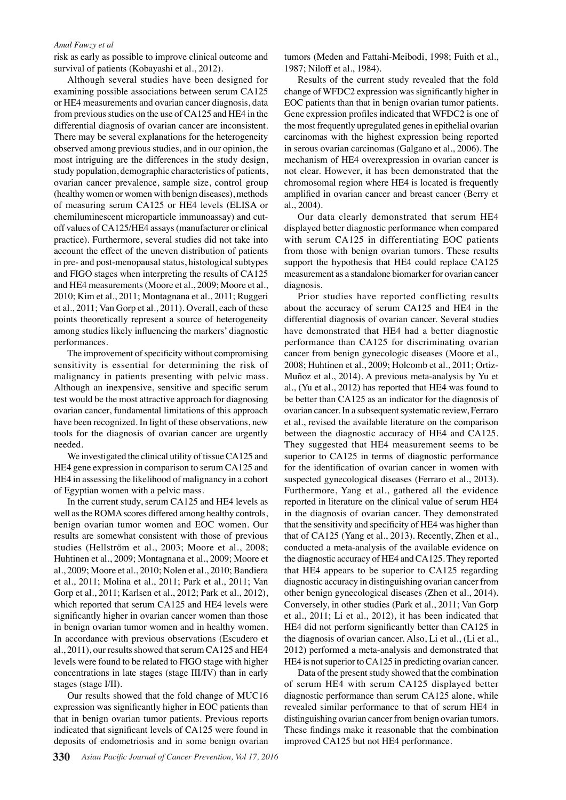risk as early as possible to improve clinical outcome and survival of patients (Kobayashi et al., 2012).

Although several studies have been designed for examining possible associations between serum CA125 or HE4 measurements and ovarian cancer diagnosis, data from previous studies on the use of CA125 and HE4 in the differential diagnosis of ovarian cancer are inconsistent. There may be several explanations for the heterogeneity observed among previous studies, and in our opinion, the most intriguing are the differences in the study design, study population, demographic characteristics of patients, ovarian cancer prevalence, sample size, control group (healthy women or women with benign diseases), methods of measuring serum CA125 or HE4 levels (ELISA or chemiluminescent microparticle immunoassay) and cutoff values of CA125/HE4 assays (manufacturer or clinical practice). Furthermore, several studies did not take into account the effect of the uneven distribution of patients in pre- and post-menopausal status, histological subtypes and FIGO stages when interpreting the results of CA125 and HE4 measurements (Moore et al., 2009; Moore et al., 2010; Kim et al., 2011; Montagnana et al., 2011; Ruggeri et al., 2011; Van Gorp et al., 2011). Overall, each of these points theoretically represent a source of heterogeneity among studies likely influencing the markers' diagnostic performances.

The improvement of specificity without compromising sensitivity is essential for determining the risk of malignancy in patients presenting with pelvic mass. Although an inexpensive, sensitive and specific serum test would be the most attractive approach for diagnosing ovarian cancer, fundamental limitations of this approach have been recognized. In light of these observations, new tools for the diagnosis of ovarian cancer are urgently needed.

We investigated the clinical utility of tissue CA125 and HE4 gene expression in comparison to serum CA125 and HE4 in assessing the likelihood of malignancy in a cohort of Egyptian women with a pelvic mass.

In the current study, serum CA125 and HE4 levels as well as the ROMA scores differed among healthy controls, benign ovarian tumor women and EOC women. Our results are somewhat consistent with those of previous studies (Hellström et al., 2003; Moore et al., 2008; Huhtinen et al., 2009; Montagnana et al., 2009; Moore et al., 2009; Moore et al., 2010; Nolen et al., 2010; Bandiera et al., 2011; Molina et al., 2011; Park et al., 2011; Van Gorp et al., 2011; Karlsen et al., 2012; Park et al., 2012), which reported that serum CA125 and HE4 levels were significantly higher in ovarian cancer women than those in benign ovarian tumor women and in healthy women. In accordance with previous observations (Escudero et al., 2011), our results showed that serum CA125 and HE4 levels were found to be related to FIGO stage with higher concentrations in late stages (stage III/IV) than in early stages (stage I/II).

Our results showed that the fold change of MUC16 expression was significantly higher in EOC patients than that in benign ovarian tumor patients. Previous reports indicated that significant levels of CA125 were found in deposits of endometriosis and in some benign ovarian

tumors (Meden and Fattahi-Meibodi, 1998; Fuith et al., 1987; Niloff et al., 1984).

Results of the current study revealed that the fold change of WFDC2 expression was significantly higher in EOC patients than that in benign ovarian tumor patients. Gene expression profiles indicated that WFDC2 is one of the most frequently upregulated genes in epithelial ovarian carcinomas with the highest expression being reported in serous ovarian carcinomas (Galgano et al., 2006). The mechanism of HE4 overexpression in ovarian cancer is not clear. However, it has been demonstrated that the chromosomal region where HE4 is located is frequently amplified in ovarian cancer and breast cancer (Berry et al., 2004).

Our data clearly demonstrated that serum HE4 displayed better diagnostic performance when compared with serum CA125 in differentiating EOC patients from those with benign ovarian tumors. These results support the hypothesis that HE4 could replace CA125 measurement as a standalone biomarker for ovarian cancer diagnosis.

Prior studies have reported conflicting results about the accuracy of serum CA125 and HE4 in the differential diagnosis of ovarian cancer. Several studies have demonstrated that HE4 had a better diagnostic performance than CA125 for discriminating ovarian cancer from benign gynecologic diseases (Moore et al., 2008; Huhtinen et al., 2009; Holcomb et al., 2011; Ortiz-Muñoz et al., 2014). A previous meta-analysis by Yu et al., (Yu et al., 2012) has reported that HE4 was found to be better than CA125 as an indicator for the diagnosis of ovarian cancer. In a subsequent systematic review, Ferraro et al., revised the available literature on the comparison between the diagnostic accuracy of HE4 and CA125. They suggested that HE4 measurement seems to be superior to CA125 in terms of diagnostic performance for the identification of ovarian cancer in women with suspected gynecological diseases (Ferraro et al., 2013). Furthermore, Yang et al., gathered all the evidence reported in literature on the clinical value of serum HE4 in the diagnosis of ovarian cancer. They demonstrated that the sensitivity and specificity of HE4 was higher than that of CA125 (Yang et al., 2013). Recently, Zhen et al., conducted a meta-analysis of the available evidence on the diagnostic accuracy of HE4 and CA125. They reported that HE4 appears to be superior to CA125 regarding diagnostic accuracy in distinguishing ovarian cancer from other benign gynecological diseases (Zhen et al., 2014). Conversely, in other studies (Park et al., 2011; Van Gorp et al., 2011; Li et al., 2012), it has been indicated that HE4 did not perform significantly better than CA125 in the diagnosis of ovarian cancer. Also, Li et al., (Li et al., 2012) performed a meta-analysis and demonstrated that HE4 is not superior to CA125 in predicting ovarian cancer.

Data of the present study showed that the combination of serum HE4 with serum CA125 displayed better diagnostic performance than serum CA125 alone, while revealed similar performance to that of serum HE4 in distinguishing ovarian cancer from benign ovarian tumors. These findings make it reasonable that the combination improved CA125 but not HE4 performance.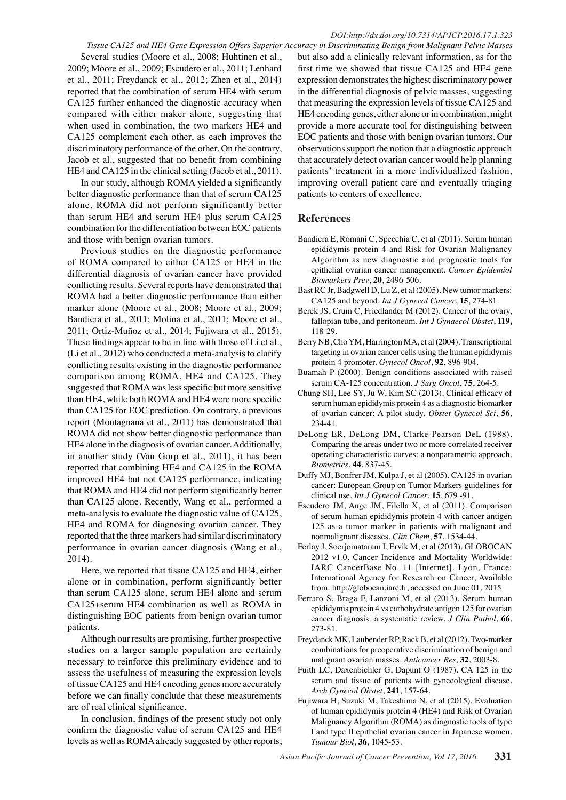Several studies (Moore et al., 2008; Huhtinen et al., 2009; Moore et al., 2009; Escudero et al., 2011; Lenhard et al., 2011; Freydanck et al., 2012; Zhen et al., 2014) reported that the combination of serum HE4 with serum CA125 further enhanced the diagnostic accuracy when compared with either maker alone, suggesting that when used in combination, the two markers HE4 and CA125 complement each other, as each improves the discriminatory performance of the other. On the contrary, Jacob et al., suggested that no benefit from combining HE4 and CA125 in the clinical setting (Jacob et al., 2011).

In our study, although ROMA yielded a significantly better diagnostic performance than that of serum CA125 alone, ROMA did not perform significantly better than serum HE4 and serum HE4 plus serum CA125 combination for the differentiation between EOC patients and those with benign ovarian tumors.

Previous studies on the diagnostic performance of ROMA compared to either CA125 or HE4 in the differential diagnosis of ovarian cancer have provided conflicting results. Several reports have demonstrated that ROMA had a better diagnostic performance than either marker alone (Moore et al., 2008; Moore et al., 2009; Bandiera et al., 2011; Molina et al., 2011; Moore et al., 2011; Ortiz-Muñoz et al., 2014; Fujiwara et al., 2015). These findings appear to be in line with those of Li et al., (Li et al., 2012) who conducted a meta-analysis to clarify conflicting results existing in the diagnostic performance comparison among ROMA, HE4 and CA125. They suggested that ROMA was less specific but more sensitive than HE4, while both ROMA and HE4 were more specific than CA125 for EOC prediction. On contrary, a previous report (Montagnana et al., 2011) has demonstrated that ROMA did not show better diagnostic performance than HE4 alone in the diagnosis of ovarian cancer. Additionally, in another study (Van Gorp et al., 2011), it has been reported that combining HE4 and CA125 in the ROMA improved HE4 but not CA125 performance, indicating that ROMA and HE4 did not perform significantly better than CA125 alone. Recently, Wang et al., performed a meta-analysis to evaluate the diagnostic value of CA125, HE4 and ROMA for diagnosing ovarian cancer. They reported that the three markers had similar discriminatory performance in ovarian cancer diagnosis (Wang et al., 2014).

Here, we reported that tissue CA125 and HE4, either alone or in combination, perform significantly better than serum CA125 alone, serum HE4 alone and serum CA125+serum HE4 combination as well as ROMA in distinguishing EOC patients from benign ovarian tumor patients.

Although our results are promising, further prospective studies on a larger sample population are certainly necessary to reinforce this preliminary evidence and to assess the usefulness of measuring the expression levels of tissue CA125 and HE4 encoding genes more accurately before we can finally conclude that these measurements are of real clinical significance.

In conclusion, findings of the present study not only confirm the diagnostic value of serum CA125 and HE4 levels as well as ROMA already suggested by other reports,

*Tissue CA125 and HE4 Gene Expression Offers Superior Accuracy in Discriminating Benign from Malignant Pelvic Masses* but also add a clinically relevant information, as for the first time we showed that tissue CA125 and HE4 gene expression demonstrates the highest discriminatory power in the differential diagnosis of pelvic masses, suggesting that measuring the expression levels of tissue CA125 and HE4 encoding genes, either alone or in combination, might provide a more accurate tool for distinguishing between EOC patients and those with benign ovarian tumors. Our observations support the notion that a diagnostic approach that accurately detect ovarian cancer would help planning patients' treatment in a more individualized fashion, improving overall patient care and eventually triaging patients to centers of excellence.

#### **References**

- Bandiera E, Romani C, Specchia C, et al (2011). Serum human epididymis protein 4 and Risk for Ovarian Malignancy Algorithm as new diagnostic and prognostic tools for epithelial ovarian cancer management. *Cancer Epidemiol Biomarkers Prev*, **20**, 2496-506.
- Bast RC Jr, Badgwell D, Lu Z, et al (2005). New tumor markers: CA125 and beyond. *Int J Gynecol Cancer*, **15**, 274-81.
- Berek JS, Crum C, Friedlander M (2012). Cancer of the ovary, fallopian tube, and peritoneum. *Int J Gynaecol Obstet*, **119,**  118-29.
- Berry NB, Cho YM, Harrington MA, et al (2004). Transcriptional targeting in ovarian cancer cells using the human epididymis protein 4 promoter. *Gynecol Oncol*, **92**, 896-904.
- Buamah P (2000). Benign conditions associated with raised serum CA-125 concentration. *J Surg Oncol*, **75**, 264-5.
- Chung SH, Lee SY, Ju W, Kim SC (2013). Clinical efficacy of serum human epididymis protein 4 as a diagnostic biomarker of ovarian cancer: A pilot study. *Obstet Gynecol Sci*, **56**, 234-41.
- DeLong ER, DeLong DM, Clarke-Pearson DeL (1988). Comparing the areas under two or more correlated receiver operating characteristic curves: a nonparametric approach. *Biometrics*, **44**, 837-45.
- Duffy MJ, Bonfrer JM, Kulpa J, et al (2005). CA125 in ovarian cancer: European Group on Tumor Markers guidelines for clinical use. *Int J Gynecol Cancer*, **15**, 679 -91.
- Escudero JM, Auge JM, Filella X, et al (2011). Comparison of serum human epididymis protein 4 with cancer antigen 125 as a tumor marker in patients with malignant and nonmalignant diseases. *Clin Chem*, **57**, 1534-44.
- Ferlay J, Soerjomataram I, Ervik M, et al (2013). GLOBOCAN 2012 v1.0, Cancer Incidence and Mortality Worldwide: IARC CancerBase No. 11 [Internet]. Lyon, France: International Agency for Research on Cancer, Available from: http://globocan.iarc.fr, accessed on June 01, 2015.
- Ferraro S, Braga F, Lanzoni M, et al (2013). Serum human epididymis protein 4 vs carbohydrate antigen 125 for ovarian cancer diagnosis: a systematic review. *J Clin Pathol*, **66**, 273-81.
- Freydanck MK, Laubender RP, Rack B, et al (2012). Two-marker combinations for preoperative discrimination of benign and malignant ovarian masses. *Anticancer Res*, **32**, 2003-8.
- Fuith LC, Daxenbichler G, Dapunt O (1987). CA 125 in the serum and tissue of patients with gynecological disease. *Arch Gynecol Obstet*, **241**, 157-64.
- Fujiwara H, Suzuki M, Takeshima N, et al (2015). Evaluation of human epididymis protein 4 (HE4) and Risk of Ovarian Malignancy Algorithm (ROMA) as diagnostic tools of type I and type II epithelial ovarian cancer in Japanese women. *Tumour Biol*, **36**, 1045-53.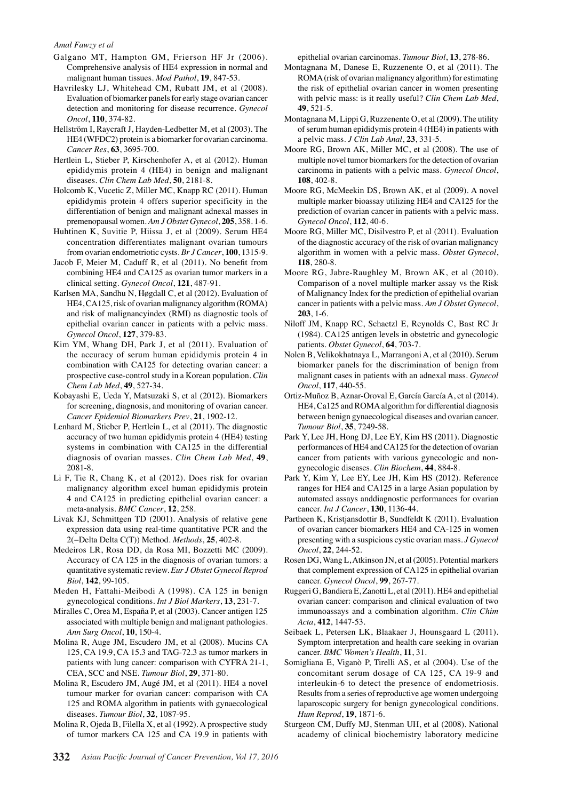- Galgano MT, Hampton GM, Frierson HF Jr (2006). Comprehensive analysis of HE4 expression in normal and malignant human tissues. *Mod Pathol*, **19**, 847-53.
- Havrilesky LJ, Whitehead CM, Rubatt JM, et al (2008). Evaluation of biomarker panels for early stage ovarian cancer detection and monitoring for disease recurrence. *Gynecol Oncol*, **110**, 374-82.
- Hellström I, Raycraft J, Hayden-Ledbetter M, et al (2003). The HE4 (WFDC2) protein is a biomarker for ovarian carcinoma. *Cancer Res*, **63**, 3695-700.
- Hertlein L, Stieber P, Kirschenhofer A, et al (2012). Human epididymis protein 4 (HE4) in benign and malignant diseases. *Clin Chem Lab Med*, **50**, 2181-8.
- Holcomb K, Vucetic Z, Miller MC, Knapp RC (2011). Human epididymis protein 4 offers superior specificity in the differentiation of benign and malignant adnexal masses in premenopausal women. *Am J Obstet Gynecol*, **205**, 358. 1-6.
- Huhtinen K, Suvitie P, Hiissa J, et al (2009). Serum HE4 concentration differentiates malignant ovarian tumours from ovarian endometriotic cysts. *Br J Cancer*, **100**, 1315-9.
- Jacob F, Meier M, Caduff R, et al (2011). No benefit from combining HE4 and CA125 as ovarian tumor markers in a clinical setting. *Gynecol Oncol*, **121**, 487-91.
- Karlsen MA, Sandhu N, Høgdall C, et al (2012). Evaluation of HE4, CA125, risk of ovarian malignancy algorithm (ROMA) and risk of malignancyindex (RMI) as diagnostic tools of epithelial ovarian cancer in patients with a pelvic mass. *Gynecol Oncol*, **127**, 379-83.
- Kim YM, Whang DH, Park J, et al (2011). Evaluation of the accuracy of serum human epididymis protein 4 in combination with CA125 for detecting ovarian cancer: a prospective case-control study in a Korean population. *Clin Chem Lab Med*, **49**, 527-34.
- Kobayashi E, Ueda Y, Matsuzaki S, et al (2012). Biomarkers for screening, diagnosis, and monitoring of ovarian cancer. *Cancer Epidemiol Biomarkers Prev*, **21**, 1902-12.
- Lenhard M, Stieber P, Hertlein L, et al (2011). The diagnostic accuracy of two human epididymis protein 4 (HE4) testing systems in combination with CA125 in the differential diagnosis of ovarian masses. *Clin Chem Lab Med*, **49**, 2081-8.
- Li F, Tie R, Chang K, et al (2012). Does risk for ovarian malignancy algorithm excel human epididymis protein 4 and CA125 in predicting epithelial ovarian cancer: a meta-analysis. *BMC Cancer*, **12**, 258.
- Livak KJ, Schmittgen TD (2001). Analysis of relative gene expression data using real-time quantitative PCR and the 2(−Delta Delta C(T)) Method. *Methods*, **25**, 402-8.
- Medeiros LR, Rosa DD, da Rosa MI, Bozzetti MC (2009). Accuracy of CA 125 in the diagnosis of ovarian tumors: a quantitative systematic review. *Eur J Obstet Gynecol Reprod Biol*, **142**, 99-105.
- Meden H, Fattahi-Meibodi A (1998). CA 125 in benign gynecological conditions. *Int J Biol Markers*, **13**, 231-7.
- Miralles C, Orea M, España P, et al (2003). Cancer antigen 125 associated with multiple benign and malignant pathologies. *Ann Surg Oncol*, **10**, 150-4.
- Molina R, Auge JM, Escudero JM, et al (2008). Mucins CA 125, CA 19.9, CA 15.3 and TAG-72.3 as tumor markers in patients with lung cancer: comparison with CYFRA 21-1, CEA, SCC and NSE. *Tumour Biol*, **29**, 371-80.
- Molina R, Escudero JM, Augé JM, et al (2011). HE4 a novel tumour marker for ovarian cancer: comparison with CA 125 and ROMA algorithm in patients with gynaecological diseases. *Tumour Biol*, **32**, 1087-95.
- Molina R, Ojeda B, Filella X, et al (1992). A prospective study of tumor markers CA 125 and CA 19.9 in patients with

epithelial ovarian carcinomas. *Tumour Biol*, **13**, 278-86.

- Montagnana M, Danese E, Ruzzenente O, et al (2011). The ROMA (risk of ovarian malignancy algorithm) for estimating the risk of epithelial ovarian cancer in women presenting with pelvic mass: is it really useful? *Clin Chem Lab Med*, **49**, 521-5.
- Montagnana M, Lippi G, Ruzzenente O, et al (2009). The utility of serum human epididymis protein 4 (HE4) in patients with a pelvic mass. *J Clin Lab Anal*, **23**, 331-5.
- Moore RG, Brown AK, Miller MC, et al (2008). The use of multiple novel tumor biomarkers for the detection of ovarian carcinoma in patients with a pelvic mass. *Gynecol Oncol*, **108**, 402-8.
- Moore RG, McMeekin DS, Brown AK, et al (2009). A novel multiple marker bioassay utilizing HE4 and CA125 for the prediction of ovarian cancer in patients with a pelvic mass. *Gynecol Oncol*, **112**, 40-6.
- Moore RG, Miller MC, Disilvestro P, et al (2011). Evaluation of the diagnostic accuracy of the risk of ovarian malignancy algorithm in women with a pelvic mass. *Obstet Gynecol*, **118**, 280-8.
- Moore RG, Jabre-Raughley M, Brown AK, et al (2010). Comparison of a novel multiple marker assay vs the Risk of Malignancy Index for the prediction of epithelial ovarian cancer in patients with a pelvic mass. *Am J Obstet Gynecol*, **203**, 1-6.
- Niloff JM, Knapp RC, Schaetzl E, Reynolds C, Bast RC Jr (1984). CA125 antigen levels in obstetric and gynecologic patients. *Obstet Gynecol*, **64**, 703-7.
- Nolen B, Velikokhatnaya L, Marrangoni A, et al (2010). Serum biomarker panels for the discrimination of benign from malignant cases in patients with an adnexal mass. *Gynecol Oncol*, **117**, 440-55.
- Ortiz-Muñoz B, Aznar-Oroval E, García García A, et al (2014). HE4, Ca125 and ROMA algorithm for differential diagnosis between benign gynaecological diseases and ovarian cancer. *Tumour Biol*, **35**, 7249-58.
- Park Y, Lee JH, Hong DJ, Lee EY, Kim HS (2011). Diagnostic performances of HE4 and CA125 for the detection of ovarian cancer from patients with various gynecologic and nongynecologic diseases. *Clin Biochem*, **44**, 884-8.
- Park Y, Kim Y, Lee EY, Lee JH, Kim HS (2012). Reference ranges for HE4 and CA125 in a large Asian population by automated assays anddiagnostic performances for ovarian cancer. *Int J Cancer*, **130**, 1136-44.
- Partheen K, Kristjansdottir B, Sundfeldt K (2011). Evaluation of ovarian cancer biomarkers HE4 and CA-125 in women presenting with a suspicious cystic ovarian mass. *J Gynecol Oncol*, **22**, 244-52.
- Rosen DG, Wang L, Atkinson JN, et al (2005). Potential markers that complement expression of CA125 in epithelial ovarian cancer. *Gynecol Oncol*, **99**, 267-77.
- Ruggeri G, Bandiera E, Zanotti L, et al (2011). HE4 and epithelial ovarian cancer: comparison and clinical evaluation of two immunoassays and a combination algorithm. *Clin Chim Acta*, **412**, 1447-53.
- Seibaek L, Petersen LK, Blaakaer J, Hounsgaard L (2011). Symptom interpretation and health care seeking in ovarian cancer. *BMC Women's Health*, **11**, 31.
- Somigliana E, Viganò P, Tirelli AS, et al (2004). Use of the concomitant serum dosage of CA 125, CA 19-9 and interleukin-6 to detect the presence of endometriosis. Results from a series of reproductive age women undergoing laparoscopic surgery for benign gynecological conditions. *Hum Reprod*, **19**, 1871-6.
- Sturgeon CM, Duffy MJ, Stenman UH, et al (2008). National academy of clinical biochemistry laboratory medicine